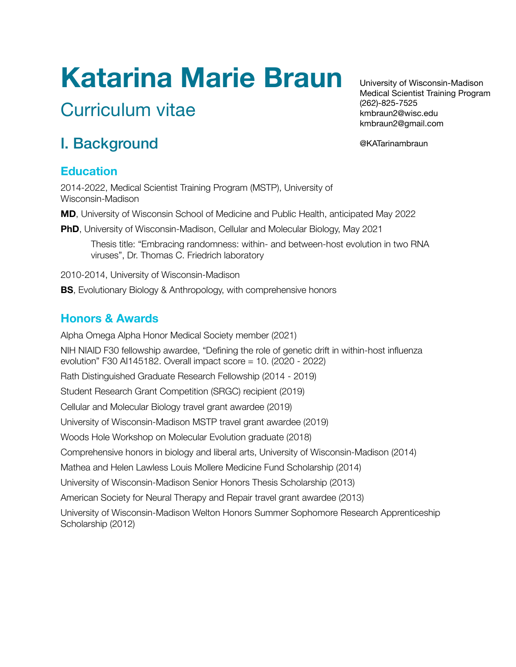# **Katarina Marie Braun**

# Curriculum vitae

University of Wisconsin-Madison Medical Scientist Training Program (262)-825-7525 kmbraun2@wisc.edu kmbraun2@gmail.com

@KATarinambraun

# I. Background

#### **Education**

2014-2022, Medical Scientist Training Program (MSTP), University of Wisconsin-Madison

**MD**, University of Wisconsin School of Medicine and Public Health, anticipated May 2022

**PhD**, University of Wisconsin-Madison, Cellular and Molecular Biology, May 2021

Thesis title: "Embracing randomness: within- and between-host evolution in two RNA viruses", Dr. Thomas C. Friedrich laboratory

2010-2014, University of Wisconsin-Madison

**BS**, Evolutionary Biology & Anthropology, with comprehensive honors

#### **Honors & Awards**

Alpha Omega Alpha Honor Medical Society member (2021) NIH NIAID F30 fellowship awardee, "Defining the role of genetic drift in within-host influenza evolution" F30 AI145182. Overall impact score = 10. (2020 - 2022) Rath Distinguished Graduate Research Fellowship (2014 - 2019) Student Research Grant Competition (SRGC) recipient (2019) Cellular and Molecular Biology travel grant awardee (2019) University of Wisconsin-Madison MSTP travel grant awardee (2019) Woods Hole Workshop on Molecular Evolution graduate (2018) Comprehensive honors in biology and liberal arts, University of Wisconsin-Madison (2014) American Society for Neural Therapy and Repair travel grant awardee (2013)

Mathea and Helen Lawless Louis Mollere Medicine Fund Scholarship (2014) University of Wisconsin-Madison Senior Honors Thesis Scholarship (2013)

University of Wisconsin-Madison Welton Honors Summer Sophomore Research Apprenticeship Scholarship (2012)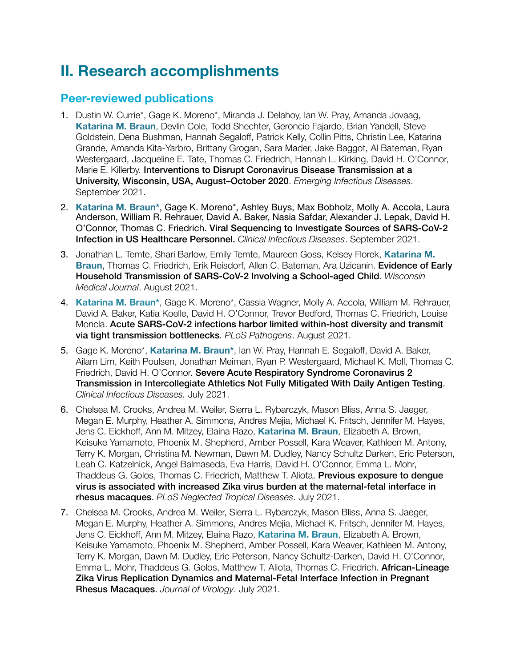## **II. Research accomplishments**

#### **Peer-reviewed publications**

- 1. Dustin W. Currie\*, Gage K. Moreno\*, Miranda J. Delahoy, Ian W. Pray, Amanda Jovaag, **Katarina M. Braun**, Devlin Cole, Todd Shechter, Geroncio Fajardo, Brian Yandell, Steve Goldstein, Dena Bushman, Hannah Segaloff, Patrick Kelly, Collin Pitts, Christin Lee, Katarina Grande, Amanda Kita-Yarbro, Brittany Grogan, Sara Mader, Jake Baggot, Al Bateman, Ryan Westergaard, Jacqueline E. Tate, Thomas C. Friedrich, Hannah L. Kirking, David H. O'Connor, Marie E. Killerby. Interventions to Disrupt Coronavirus Disease Transmission at a University, Wisconsin, USA, August–October 2020. *Emerging Infectious Diseases*. September 2021.
- 2. **Katarina M. Braun\***, Gage K. Moreno\*, Ashley Buys, Max Bobholz, Molly A. Accola, Laura Anderson, William R. Rehrauer, David A. Baker, Nasia Safdar, Alexander J. Lepak, David H. O'Connor, Thomas C. Friedrich. Viral Sequencing to Investigate Sources of SARS-CoV-2 Infection in US Healthcare Personnel. *Clinical Infectious Diseases*. September 2021.
- 3. Jonathan L. Temte, Shari Barlow, Emily Temte, Maureen Goss, Kelsey Florek, **Katarina M. Braun**, Thomas C. Friedrich, Erik Reisdorf, Allen C. Bateman, Ara Uzicanin. Evidence of Early Household Transmission of SARS-CoV-2 Involving a School-aged Child. *Wisconsin Medical Journal*. August 2021.
- 4. **Katarina M. Braun\***, Gage K. Moreno\*, Cassia Wagner, Molly A. Accola, William M. Rehrauer, David A. Baker, Katia Koelle, David H. O'Connor, Trevor Bedford, Thomas C. Friedrich, Louise Moncla. Acute SARS-CoV-2 infections harbor limited within-host diversity and transmit via tight transmission bottlenecks*. PLoS Pathogens*. August 2021.
- 5. Gage K. Moreno\*, **Katarina M. Braun\***, Ian W. Pray, Hannah E. Segaloff, David A. Baker, Ailam Lim, Keith Poulsen, Jonathan Meiman, Ryan P. Westergaard, Michael K. Moll, Thomas C. Friedrich, David H. O'Connor. Severe Acute Respiratory Syndrome Coronavirus 2 Transmission in Intercollegiate Athletics Not Fully Mitigated With Daily Antigen Testing. *Clinical Infectious Diseases.* July 2021.
- 6. Chelsea M. Crooks, Andrea M. Weiler, Sierra L. Rybarczyk, Mason Bliss, Anna S. Jaeger, Megan E. Murphy, Heather A. Simmons, Andres Mejia, Michael K. Fritsch, Jennifer M. Hayes, Jens C. Eickhoff, Ann M. Mitzey, Elaina Razo, **Katarina M. Braun**, Elizabeth A. Brown, Keisuke Yamamoto, Phoenix M. Shepherd, Amber Possell, Kara Weaver, Kathleen M. Antony, Terry K. Morgan, Christina M. Newman, Dawn M. Dudley, Nancy Schultz Darken, Eric Peterson, Leah C. Katzelnick, Angel Balmaseda, Eva Harris, David H. O'Connor, Emma L. Mohr, Thaddeus G. Golos, Thomas C. Friedrich, Matthew T. Aliota. Previous exposure to dengue virus is associated with increased Zika virus burden at the maternal-fetal interface in rhesus macaques. *PLoS Neglected Tropical Diseases*. July 2021.
- 7. Chelsea M. Crooks, Andrea M. Weiler, Sierra L. Rybarczyk, Mason Bliss, Anna S. Jaeger, Megan E. Murphy, Heather A. Simmons, Andres Mejia, Michael K. Fritsch, Jennifer M. Hayes, Jens C. Eickhoff, Ann M. Mitzey, Elaina Razo, **Katarina M. Braun**, Elizabeth A. Brown, Keisuke Yamamoto, Phoenix M. Shepherd, Amber Possell, Kara Weaver, Kathleen M. Antony, Terry K. Morgan, Dawn M. Dudley, Eric Peterson, Nancy Schultz-Darken, David H. O'Connor, Emma L. Mohr, Thaddeus G. Golos, Matthew T. Aliota, Thomas C. Friedrich. African-Lineage Zika Virus Replication Dynamics and Maternal-Fetal Interface Infection in Pregnant Rhesus Macaques. *Journal of Virology*. July 2021.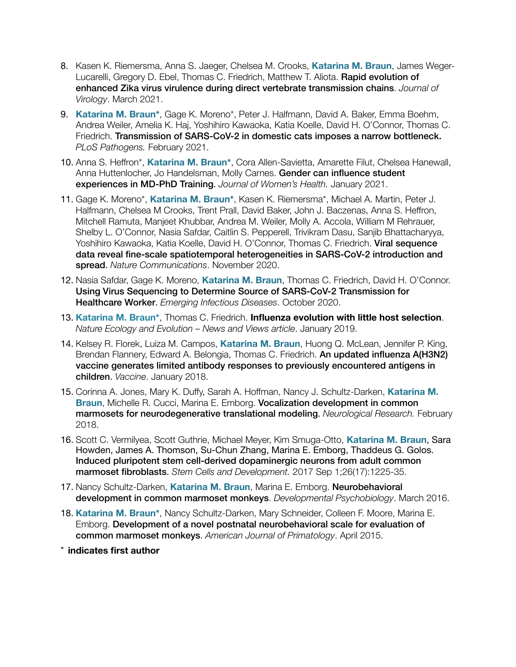- 8. Kasen K. Riemersma, Anna S. Jaeger, Chelsea M. Crooks, **Katarina M. Braun**, James Weger-Lucarelli, Gregory D. Ebel, Thomas C. Friedrich, Matthew T. Aliota. Rapid evolution of enhanced Zika virus virulence during direct vertebrate transmission chains. *Journal of Virology*. March 2021.
- 9. **Katarina M. Braun\***, Gage K. Moreno\*, Peter J. Halfmann, David A. Baker, Emma Boehm, Andrea Weiler, Amelia K. Haj, Yoshihiro Kawaoka, Katia Koelle, David H. O'Connor, Thomas C. Friedrich. Transmission of SARS-CoV-2 in domestic cats imposes a narrow bottleneck. *PLoS Pathogens.* February 2021.
- 10. Anna S. Heffron\*, **Katarina M. Braun\***, Cora Allen-Savietta, Amarette Filut, Chelsea Hanewall, Anna Huttenlocher, Jo Handelsman, Molly Carnes. Gender can influence student experiences in MD-PhD Training. *Journal of Women's Health.* January 2021.
- 11. Gage K. Moreno\*, **Katarina M. Braun\***, Kasen K. Riemersma\*, Michael A. Martin, Peter J. Halfmann, Chelsea M Crooks, Trent Prall, David Baker, John J. Baczenas, Anna S. Heffron, Mitchell Ramuta, Manjeet Khubbar, Andrea M. Weiler, Molly A. Accola, William M Rehrauer, Shelby L. O'Connor, Nasia Safdar, Caitlin S. Pepperell, Trivikram Dasu, Sanjib Bhattacharyya, Yoshihiro Kawaoka, Katia Koelle, David H. O'Connor, Thomas C. Friedrich. Viral sequence data reveal fine-scale spatiotemporal heterogeneities in SARS-CoV-2 introduction and spread. *Nature Communications*. November 2020.
- 12. Nasia Safdar, Gage K. Moreno, **Katarina M. Braun**, Thomas C. Friedrich, David H. O'Connor. Using Virus Sequencing to Determine Source of SARS-CoV-2 Transmission for Healthcare Worker. *Emerging Infectious Diseases*. October 2020.
- 13. **Katarina M. Braun\***, Thomas C. Friedrich. **Influenza evolution with little host selection**. *Nature Ecology and Evolution – News and Views article*. January 2019.
- 14. Kelsey R. Florek, Luiza M. Campos, **Katarina M. Braun**, Huong Q. McLean, Jennifer P. King, Brendan Flannery, Edward A. Belongia, Thomas C. Friedrich. An updated influenza A(H3N2) vaccine generates limited antibody responses to previously encountered antigens in children. *Vaccine*. January 2018.
- 15. Corinna A. Jones, Mary K. Duffy, Sarah A. Hoffman, Nancy J. Schultz-Darken, **Katarina M. Braun**, Michelle R. Cucci, Marina E. Emborg. Vocalization development in common marmosets for neurodegenerative translational modeling. *Neurological Research.* February 2018.
- 16. Scott C. Vermilyea, Scott Guthrie, Michael Meyer, Kim Smuga-Otto, **Katarina M. Braun**, Sara Howden, James A. Thomson, Su-Chun Zhang, Marina E. Emborg, Thaddeus G. Golos. Induced pluripotent stem cell-derived dopaminergic neurons from adult common marmoset fibroblasts. *Stem Cells and Development.* 2017 Sep 1;26(17):1225-35.
- 17. Nancy Schultz-Darken, **Katarina M. Braun**, Marina E. Emborg. Neurobehavioral development in common marmoset monkeys. *Developmental Psychobiology*. March 2016.
- 18. **Katarina M. Braun\***, Nancy Schultz-Darken, Mary Schneider, Colleen F. Moore, Marina E. Emborg. Development of a novel postnatal neurobehavioral scale for evaluation of common marmoset monkeys. *American Journal of Primatology*. April 2015.
- \* **indicates first author**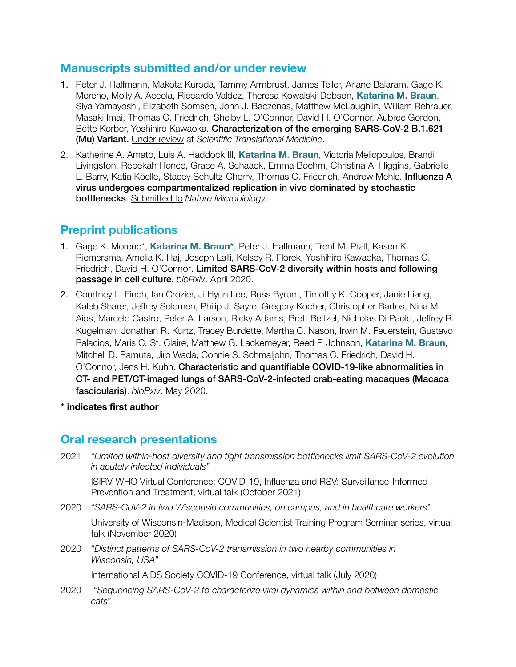#### **Manuscripts submitted and/or under review**

- 1. Peter J. Halfmann, Makota Kuroda, Tammy Armbrust, James Teiler, Ariane Balaram, Gage K. Moreno, Molly A. Accola, Riccardo Valdez, Theresa Kowalski-Dobson, **Katarina M. Braun**, Siya Yamayoshi, Elizabeth Somsen, John J. Baczenas, Matthew McLaughlin, William Rehrauer, Masaki Imai, Thomas C. Friedrich, Shelby L. O'Connor, David H. O'Connor, Aubree Gordon, Bette Korber, Yoshihiro Kawaoka. Characterization of the emerging SARS-CoV-2 B.1.621 (Mu) Variant. Under review at *Scientific Translational Medicine*.
- 2. Katherine A. Amato, Luis A. Haddock III, **Katarina M. Braun**, Victoria Meliopoulos, Brandi Livingston, Rebekah Honce, Grace A. Schaack, Emma Boehm, Christina A. Higgins, Gabrielle L. Barry, Katia Koelle, Stacey Schultz-Cherry, Thomas C. Friedrich, Andrew Mehle. Influenza A virus undergoes compartmentalized replication in vivo dominated by stochastic bottlenecks. Submitted to *Nature Microbiology.*

#### **Preprint publications**

- 1. Gage K. Moreno\*, **Katarina M. Braun\***, Peter J. Halfmann, Trent M. Prall, Kasen K. Riemersma, Amelia K. Haj, Joseph Lalli, Kelsey R. Florek, Yoshihiro Kawaoka, Thomas C. Friedrich, David H. O'Connor. Limited SARS-CoV-2 diversity within hosts and following passage in cell culture. *bioRxiv*. April 2020.
- 2. Courtney L. Finch, Ian Crozier, Ji Hyun Lee, Russ Byrum, Timothy K. Cooper, Janie Liang, Kaleb Sharer, Jeffrey Solomen, Philip J. Sayre, Gregory Kocher, Christopher Bartos, Nina M. Aios, Marcelo Castro, Peter A. Larson, Ricky Adams, Brett Beitzel, Nicholas Di Paolo, Jeffrey R. Kugelman, Jonathan R. Kurtz, Tracey Burdette, Martha C. Nason, Irwin M. Feuerstein, Gustavo Palacios, Maris C. St. Claire, Matthew G. Lackemeyer, Reed F. Johnson, **Katarina M. Braun**, Mitchell D. Ramuta, Jiro Wada, Connie S. Schmaljohn, Thomas C. Friedrich, David H. O'Connor, Jens H. Kuhn. Characteristic and quantifiable COVID-19-like abnormalities in CT- and PET/CT-imaged lungs of SARS-CoV-2-infected crab-eating macaques (Macaca fascicularis). *bioRxiv*. May 2020.

**\* indicates first author** 

#### **Oral research presentations**

2021 "*Limited within-host diversity and tight transmission bottlenecks limit SARS-CoV-2 evolution in acutely infected individuals"*

ISIRV-WHO Virtual Conference: COVID-19, Influenza and RSV: Surveillance-Informed Prevention and Treatment, virtual talk (October 2021)

2020 "*SARS-CoV-2 in two Wisconsin communities, on campus, and in healthcare workers*"

University of Wisconsin-Madison, Medical Scientist Training Program Seminar series, virtual talk (November 2020)

2020 *"Distinct patterns of SARS-CoV-2 transmission in two nearby communities in Wisconsin, USA*"

International AIDS Society COVID-19 Conference, virtual talk (July 2020)

2020 *"Sequencing SARS-CoV-2 to characterize viral dynamics within and between domestic cats*"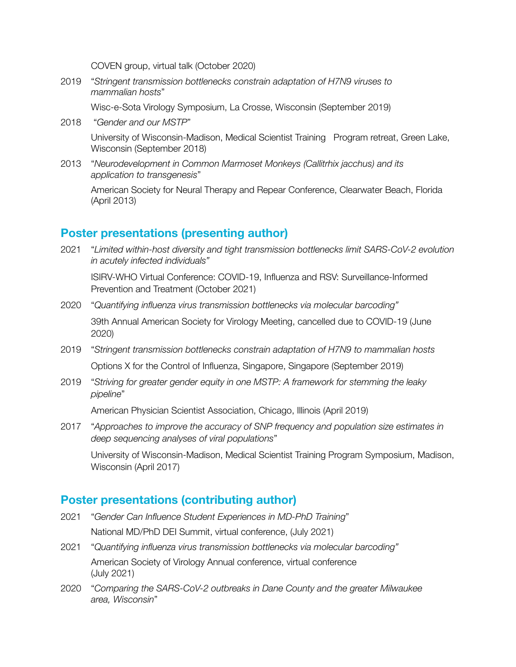COVEN group, virtual talk (October 2020)

2019 *"Stringent transmission bottlenecks constrain adaptation of H7N9 viruses to mammalian hosts*"

Wisc-e-Sota Virology Symposium, La Crosse, Wisconsin (September 2019)

- 2018 "*Gender and our MSTP*" University of Wisconsin-Madison, Medical Scientist Training Program retreat, Green Lake, Wisconsin (September 2018)
- 2013 "Neurodevelopment in Common Marmoset Monkeys (Callitrhix jacchus) and its *application to transgenesis*"

American Society for Neural Therapy and Repear Conference, Clearwater Beach, Florida (April 2013)

#### **Poster presentations (presenting author)**

2021 "*Limited within-host diversity and tight transmission bottlenecks limit SARS-CoV-2 evolution in acutely infected individuals"*

ISIRV-WHO Virtual Conference: COVID-19, Influenza and RSV: Surveillance-Informed Prevention and Treatment (October 2021)

- 2020 "*Quantifying influenza virus transmission bottlenecks via molecular barcoding"* 39th Annual American Society for Virology Meeting, cancelled due to COVID-19 (June 2020)
- 2019 "*Stringent transmission bottlenecks constrain adaptation of H7N9 to mammalian hosts* Options X for the Control of Influenza, Singapore, Singapore (September 2019)
- 2019 *"Striving for greater gender equity in one MSTP: A framework for stemming the leaky pipeline*"

American Physician Scientist Association, Chicago, Illinois (April 2019)

2017 "Approaches to improve the accuracy of SNP frequency and population size estimates in *deep sequencing analyses of viral populations*"

University of Wisconsin-Madison, Medical Scientist Training Program Symposium, Madison, Wisconsin (April 2017)

#### **Poster presentations (contributing author)**

- 2021 "*Gender Can Influence Student Experiences in MD-PhD Training*" National MD/PhD DEI Summit, virtual conference, (July 2021)
- 2021 "*Quantifying influenza virus transmission bottlenecks via molecular barcoding"* American Society of Virology Annual conference, virtual conference (July 2021)
- 2020 "Comparing the SARS-CoV-2 outbreaks in Dane County and the greater Milwaukee *area, Wisconsin*"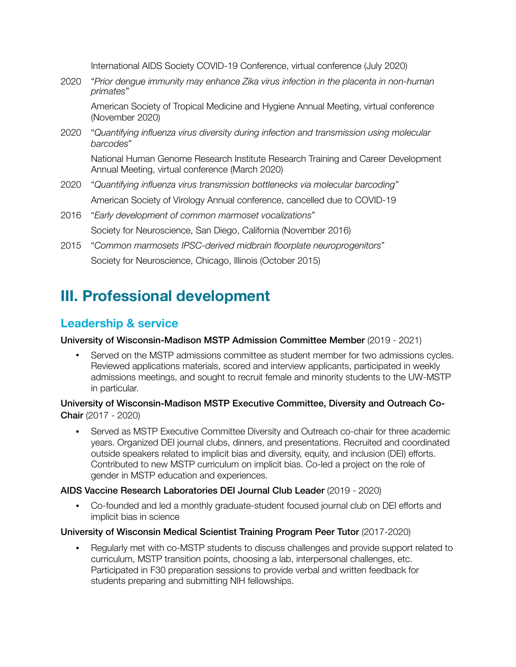International AIDS Society COVID-19 Conference, virtual conference (July 2020)

2020 *"Prior dengue immunity may enhance Zika virus infection in the placenta in non-human primates"*

American Society of Tropical Medicine and Hygiene Annual Meeting, virtual conference (November 2020)

2020 *"*Quantifying influenza virus diversity during infection and transmission using molecular *barcodes*"

National Human Genome Research Institute Research Training and Career Development Annual Meeting, virtual conference (March 2020)

- 2020 "*Quantifying influenza virus transmission bottlenecks via molecular barcoding"* American Society of Virology Annual conference, cancelled due to COVID-19
- 2016 "*Early development of common marmoset vocalizations*" Society for Neuroscience, San Diego, California (November 2016)
- 2015 "*Common marmosets IPSC-derived midbrain floorplate neuroprogenitors*" Society for Neuroscience, Chicago, Illinois (October 2015)

## **III. Professional development**

#### **Leadership & service**

#### University of Wisconsin-Madison MSTP Admission Committee Member (2019 - 2021)

• Served on the MSTP admissions committee as student member for two admissions cycles. Reviewed applications materials, scored and interview applicants, participated in weekly admissions meetings, and sought to recruit female and minority students to the UW-MSTP in particular.

University of Wisconsin-Madison MSTP Executive Committee, Diversity and Outreach Co-Chair (2017 - 2020)

• Served as MSTP Executive Committee Diversity and Outreach co-chair for three academic years. Organized DEI journal clubs, dinners, and presentations. Recruited and coordinated outside speakers related to implicit bias and diversity, equity, and inclusion (DEI) efforts. Contributed to new MSTP curriculum on implicit bias. Co-led a project on the role of gender in MSTP education and experiences.

#### AIDS Vaccine Research Laboratories DEI Journal Club Leader (2019 - 2020)

• Co-founded and led a monthly graduate-student focused journal club on DEI efforts and implicit bias in science

#### University of Wisconsin Medical Scientist Training Program Peer Tutor (2017-2020)

• Regularly met with co-MSTP students to discuss challenges and provide support related to curriculum, MSTP transition points, choosing a lab, interpersonal challenges, etc. Participated in F30 preparation sessions to provide verbal and written feedback for students preparing and submitting NIH fellowships.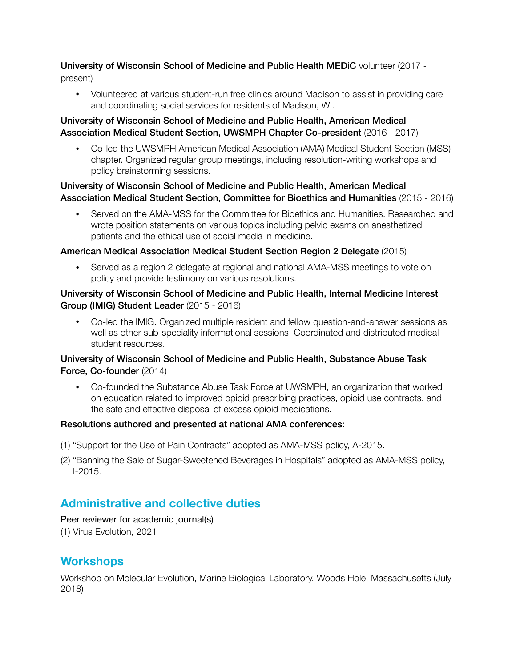#### University of Wisconsin School of Medicine and Public Health MEDiC volunteer (2017 present)

• Volunteered at various student-run free clinics around Madison to assist in providing care and coordinating social services for residents of Madison, WI.

#### University of Wisconsin School of Medicine and Public Health, American Medical Association Medical Student Section, UWSMPH Chapter Co-president (2016 - 2017)

• Co-led the UWSMPH American Medical Association (AMA) Medical Student Section (MSS) chapter. Organized regular group meetings, including resolution-writing workshops and policy brainstorming sessions.

#### University of Wisconsin School of Medicine and Public Health, American Medical Association Medical Student Section, Committee for Bioethics and Humanities (2015 - 2016)

• Served on the AMA-MSS for the Committee for Bioethics and Humanities. Researched and wrote position statements on various topics including pelvic exams on anesthetized patients and the ethical use of social media in medicine.

#### American Medical Association Medical Student Section Region 2 Delegate (2015)

• Served as a region 2 delegate at regional and national AMA-MSS meetings to vote on policy and provide testimony on various resolutions.

#### University of Wisconsin School of Medicine and Public Health, Internal Medicine Interest Group (IMIG) Student Leader (2015 - 2016)

• Co-led the IMIG. Organized multiple resident and fellow question-and-answer sessions as well as other sub-speciality informational sessions. Coordinated and distributed medical student resources.

#### University of Wisconsin School of Medicine and Public Health, Substance Abuse Task Force, Co-founder (2014)

• Co-founded the Substance Abuse Task Force at UWSMPH, an organization that worked on education related to improved opioid prescribing practices, opioid use contracts, and the safe and effective disposal of excess opioid medications.

#### Resolutions authored and presented at national AMA conferences:

- (1) "Support for the Use of Pain Contracts" adopted as AMA-MSS policy, A-2015.
- (2) "Banning the Sale of Sugar-Sweetened Beverages in Hospitals" adopted as AMA-MSS policy, I-2015.

#### **Administrative and collective duties**

#### Peer reviewer for academic journal(s)

(1) Virus Evolution, 2021

#### **Workshops**

Workshop on Molecular Evolution, Marine Biological Laboratory. Woods Hole, Massachusetts (July 2018)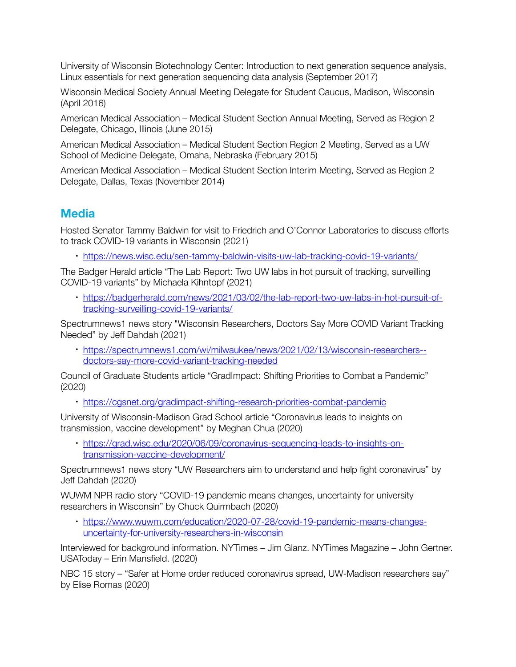University of Wisconsin Biotechnology Center: Introduction to next generation sequence analysis, Linux essentials for next generation sequencing data analysis (September 2017)

Wisconsin Medical Society Annual Meeting Delegate for Student Caucus, Madison, Wisconsin (April 2016)

American Medical Association – Medical Student Section Annual Meeting, Served as Region 2 Delegate, Chicago, Illinois (June 2015)

American Medical Association – Medical Student Section Region 2 Meeting, Served as a UW School of Medicine Delegate, Omaha, Nebraska (February 2015)

American Medical Association – Medical Student Section Interim Meeting, Served as Region 2 Delegate, Dallas, Texas (November 2014)

#### **Media**

Hosted Senator Tammy Baldwin for visit to Friedrich and O'Connor Laboratories to discuss efforts to track COVID-19 variants in Wisconsin (2021)

• <https://news.wisc.edu/sen-tammy-baldwin-visits-uw-lab-tracking-covid-19-variants/>

The Badger Herald article "The Lab Report: Two UW labs in hot pursuit of tracking, surveilling COVID-19 variants" by Michaela Kihntopf (2021)

• [https://badgerherald.com/news/2021/03/02/the-lab-report-two-uw-labs-in-hot-pursuit-of](https://badgerherald.com/news/2021/03/02/the-lab-report-two-uw-labs-in-hot-pursuit-of-tracking-surveilling-covid-19-variants/)[tracking-surveilling-covid-19-variants/](https://badgerherald.com/news/2021/03/02/the-lab-report-two-uw-labs-in-hot-pursuit-of-tracking-surveilling-covid-19-variants/)

Spectrumnews1 news story "Wisconsin Researchers, Doctors Say More COVID Variant Tracking Needed" by Jeff Dahdah (2021)

• [https://spectrumnews1.com/wi/milwaukee/news/2021/02/13/wisconsin-researchers-](https://spectrumnews1.com/wi/milwaukee/news/2021/02/13/wisconsin-researchers--doctors-say-more-covid-variant-tracking-needed) [doctors-say-more-covid-variant-tracking-needed](https://spectrumnews1.com/wi/milwaukee/news/2021/02/13/wisconsin-researchers--doctors-say-more-covid-variant-tracking-needed)

Council of Graduate Students article "GradImpact: Shifting Priorities to Combat a Pandemic" (2020)

• <https://cgsnet.org/gradimpact-shifting-research-priorities-combat-pandemic>

University of Wisconsin-Madison Grad School article "Coronavirus leads to insights on transmission, vaccine development" by Meghan Chua (2020)

• [https://grad.wisc.edu/2020/06/09/coronavirus-sequencing-leads-to-insights-on](https://grad.wisc.edu/2020/06/09/coronavirus-sequencing-leads-to-insights-on-transmission-vaccine-development/)[transmission-vaccine-development/](https://grad.wisc.edu/2020/06/09/coronavirus-sequencing-leads-to-insights-on-transmission-vaccine-development/)

Spectrumnews1 news story "UW Researchers aim to understand and help fight coronavirus" by Jeff Dahdah (2020)

WUWM NPR radio story "COVID-19 pandemic means changes, uncertainty for university researchers in Wisconsin" by Chuck Quirmbach (2020)

• [https://www.wuwm.com/education/2020-07-28/covid-19-pandemic-means-changes](https://www.wuwm.com/education/2020-07-28/covid-19-pandemic-means-changes-uncertainty-for-university-researchers-in-wisconsin)[uncertainty-for-university-researchers-in-wisconsin](https://www.wuwm.com/education/2020-07-28/covid-19-pandemic-means-changes-uncertainty-for-university-researchers-in-wisconsin)

Interviewed for background information. NYTimes – Jim Glanz. NYTimes Magazine – John Gertner. USAToday – Erin Mansfield. (2020)

NBC 15 story – "Safer at Home order reduced coronavirus spread, UW-Madison researchers say" by Elise Romas (2020)